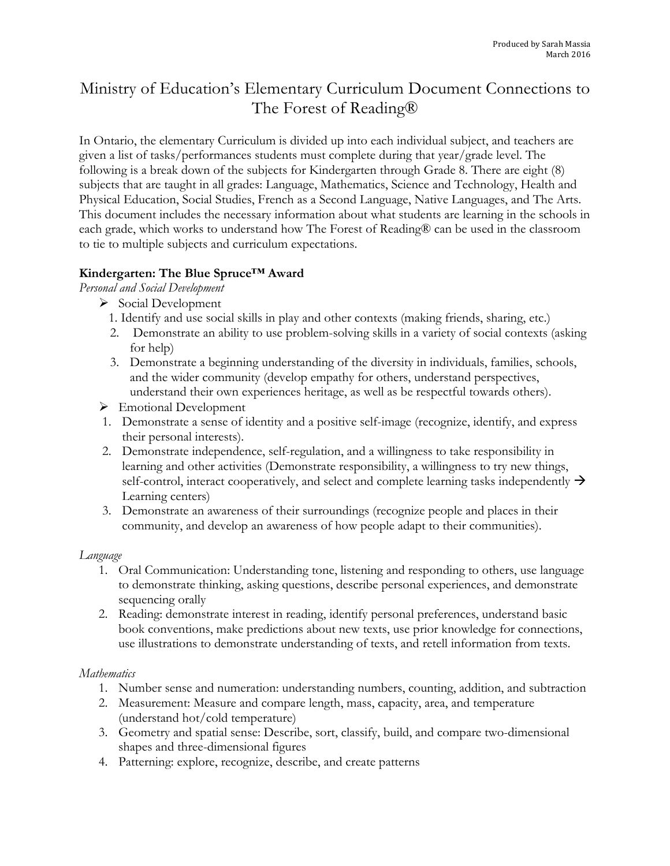# Ministry of Education's Elementary Curriculum Document Connections to The Forest of Reading®

In Ontario, the elementary Curriculum is divided up into each individual subject, and teachers are given a list of tasks/performances students must complete during that year/grade level. The following is a break down of the subjects for Kindergarten through Grade 8. There are eight (8) subjects that are taught in all grades: Language, Mathematics, Science and Technology, Health and Physical Education, Social Studies, French as a Second Language, Native Languages, and The Arts. This document includes the necessary information about what students are learning in the schools in each grade, which works to understand how The Forest of Reading® can be used in the classroom to tie to multiple subjects and curriculum expectations.

# **Kindergarten: The Blue Spruce™ Award**

*Personal and Social Development* 

- $\triangleright$  Social Development
	- 1. Identify and use social skills in play and other contexts (making friends, sharing, etc.)
	- 2. Demonstrate an ability to use problem-solving skills in a variety of social contexts (asking for help)
	- 3. Demonstrate a beginning understanding of the diversity in individuals, families, schools, and the wider community (develop empathy for others, understand perspectives, understand their own experiences heritage, as well as be respectful towards others).
- $\triangleright$  Emotional Development
- 1. Demonstrate a sense of identity and a positive self-image (recognize, identify, and express their personal interests).
- 2. Demonstrate independence, self-regulation, and a willingness to take responsibility in learning and other activities (Demonstrate responsibility, a willingness to try new things, self-control, interact cooperatively, and select and complete learning tasks independently  $\rightarrow$ Learning centers)
- 3. Demonstrate an awareness of their surroundings (recognize people and places in their community, and develop an awareness of how people adapt to their communities).

## *Language*

- 1. Oral Communication: Understanding tone, listening and responding to others, use language to demonstrate thinking, asking questions, describe personal experiences, and demonstrate sequencing orally
- 2. Reading: demonstrate interest in reading, identify personal preferences, understand basic book conventions, make predictions about new texts, use prior knowledge for connections, use illustrations to demonstrate understanding of texts, and retell information from texts.

## *Mathematics*

- 1. Number sense and numeration: understanding numbers, counting, addition, and subtraction
- 2. Measurement: Measure and compare length, mass, capacity, area, and temperature (understand hot/cold temperature)
- 3. Geometry and spatial sense: Describe, sort, classify, build, and compare two-dimensional shapes and three-dimensional figures
- 4. Patterning: explore, recognize, describe, and create patterns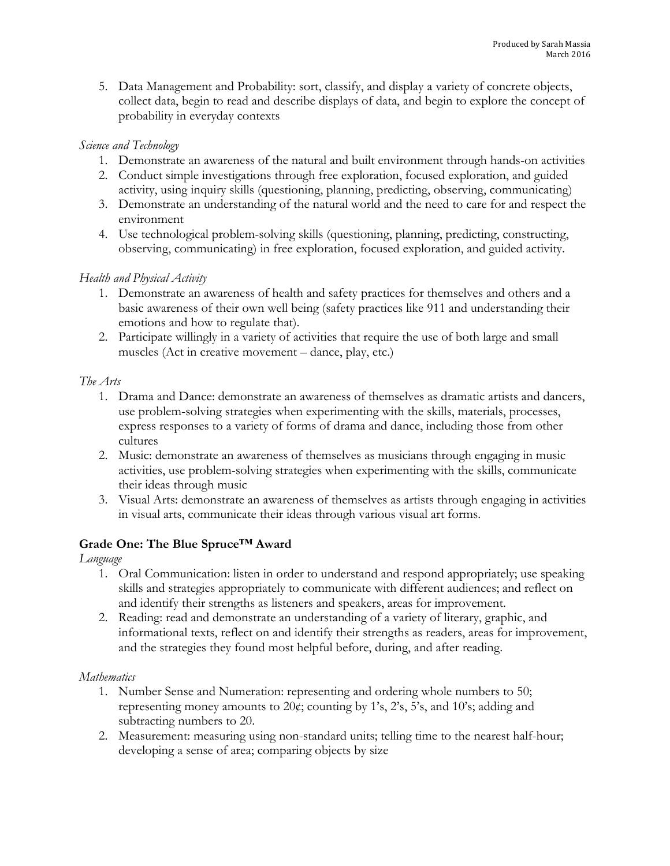5. Data Management and Probability: sort, classify, and display a variety of concrete objects, collect data, begin to read and describe displays of data, and begin to explore the concept of probability in everyday contexts

## *Science and Technology*

- 1. Demonstrate an awareness of the natural and built environment through hands-on activities
- 2. Conduct simple investigations through free exploration, focused exploration, and guided activity, using inquiry skills (questioning, planning, predicting, observing, communicating)
- 3. Demonstrate an understanding of the natural world and the need to care for and respect the environment
- 4. Use technological problem-solving skills (questioning, planning, predicting, constructing, observing, communicating) in free exploration, focused exploration, and guided activity.

# *Health and Physical Activity*

- 1. Demonstrate an awareness of health and safety practices for themselves and others and a basic awareness of their own well being (safety practices like 911 and understanding their emotions and how to regulate that).
- 2. Participate willingly in a variety of activities that require the use of both large and small muscles (Act in creative movement – dance, play, etc.)

# *The Arts*

- 1. Drama and Dance: demonstrate an awareness of themselves as dramatic artists and dancers, use problem-solving strategies when experimenting with the skills, materials, processes, express responses to a variety of forms of drama and dance, including those from other cultures
- 2. Music: demonstrate an awareness of themselves as musicians through engaging in music activities, use problem-solving strategies when experimenting with the skills, communicate their ideas through music
- 3. Visual Arts: demonstrate an awareness of themselves as artists through engaging in activities in visual arts, communicate their ideas through various visual art forms.

# **Grade One: The Blue Spruce™ Award**

# *Language*

- 1. Oral Communication: listen in order to understand and respond appropriately; use speaking skills and strategies appropriately to communicate with different audiences; and reflect on and identify their strengths as listeners and speakers, areas for improvement.
- 2. Reading: read and demonstrate an understanding of a variety of literary, graphic, and informational texts, reflect on and identify their strengths as readers, areas for improvement, and the strategies they found most helpful before, during, and after reading.

# *Mathematics*

- 1. Number Sense and Numeration: representing and ordering whole numbers to 50; representing money amounts to 20¢; counting by 1's, 2's, 5's, and 10's; adding and subtracting numbers to 20.
- 2. Measurement: measuring using non-standard units; telling time to the nearest half-hour; developing a sense of area; comparing objects by size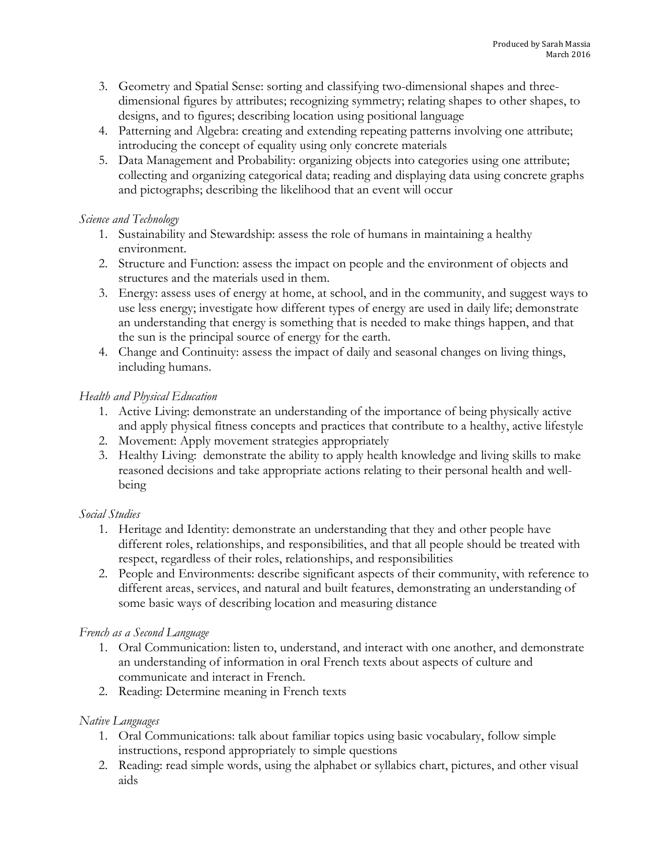- 3. Geometry and Spatial Sense: sorting and classifying two-dimensional shapes and threedimensional figures by attributes; recognizing symmetry; relating shapes to other shapes, to designs, and to figures; describing location using positional language
- 4. Patterning and Algebra: creating and extending repeating patterns involving one attribute; introducing the concept of equality using only concrete materials
- 5. Data Management and Probability: organizing objects into categories using one attribute; collecting and organizing categorical data; reading and displaying data using concrete graphs and pictographs; describing the likelihood that an event will occur

#### *Science and Technology*

- 1. Sustainability and Stewardship: assess the role of humans in maintaining a healthy environment.
- 2. Structure and Function: assess the impact on people and the environment of objects and structures and the materials used in them.
- 3. Energy: assess uses of energy at home, at school, and in the community, and suggest ways to use less energy; investigate how different types of energy are used in daily life; demonstrate an understanding that energy is something that is needed to make things happen, and that the sun is the principal source of energy for the earth.
- 4. Change and Continuity: assess the impact of daily and seasonal changes on living things, including humans.

# *Health and Physical Education*

- 1. Active Living: demonstrate an understanding of the importance of being physically active and apply physical fitness concepts and practices that contribute to a healthy, active lifestyle
- 2. Movement: Apply movement strategies appropriately
- 3. Healthy Living: demonstrate the ability to apply health knowledge and living skills to make reasoned decisions and take appropriate actions relating to their personal health and wellbeing

## *Social Studies*

- 1. Heritage and Identity: demonstrate an understanding that they and other people have different roles, relationships, and responsibilities, and that all people should be treated with respect, regardless of their roles, relationships, and responsibilities
- 2. People and Environments: describe significant aspects of their community, with reference to different areas, services, and natural and built features, demonstrating an understanding of some basic ways of describing location and measuring distance

# *French as a Second Language*

- 1. Oral Communication: listen to, understand, and interact with one another, and demonstrate an understanding of information in oral French texts about aspects of culture and communicate and interact in French.
- 2. Reading: Determine meaning in French texts

## *Native Languages*

- 1. Oral Communications: talk about familiar topics using basic vocabulary, follow simple instructions, respond appropriately to simple questions
- 2. Reading: read simple words, using the alphabet or syllabics chart, pictures, and other visual aids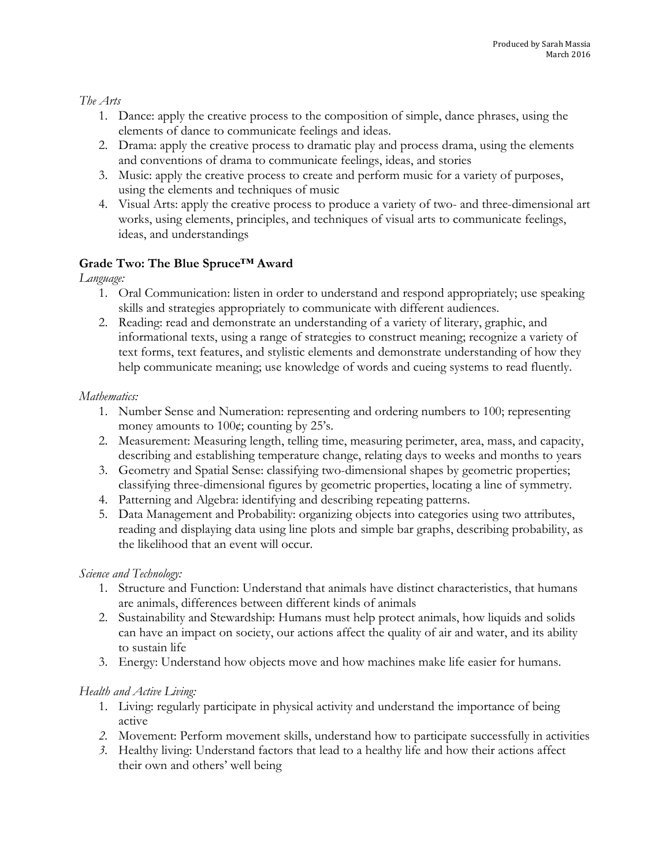*The Arts* 

- 1. Dance: apply the creative process to the composition of simple, dance phrases, using the elements of dance to communicate feelings and ideas.
- 2. Drama: apply the creative process to dramatic play and process drama, using the elements and conventions of drama to communicate feelings, ideas, and stories
- 3. Music: apply the creative process to create and perform music for a variety of purposes, using the elements and techniques of music
- 4. Visual Arts: apply the creative process to produce a variety of two- and three-dimensional art works, using elements, principles, and techniques of visual arts to communicate feelings, ideas, and understandings

# **Grade Two: The Blue Spruce™ Award**

*Language:* 

- 1. Oral Communication: listen in order to understand and respond appropriately; use speaking skills and strategies appropriately to communicate with different audiences.
- 2. Reading: read and demonstrate an understanding of a variety of literary, graphic, and informational texts, using a range of strategies to construct meaning; recognize a variety of text forms, text features, and stylistic elements and demonstrate understanding of how they help communicate meaning; use knowledge of words and cueing systems to read fluently.

## *Mathematics:*

- 1. Number Sense and Numeration: representing and ordering numbers to 100; representing money amounts to 100¢; counting by 25's.
- 2. Measurement: Measuring length, telling time, measuring perimeter, area, mass, and capacity, describing and establishing temperature change, relating days to weeks and months to years
- 3. Geometry and Spatial Sense: classifying two-dimensional shapes by geometric properties; classifying three-dimensional figures by geometric properties, locating a line of symmetry.
- 4. Patterning and Algebra: identifying and describing repeating patterns.
- 5. Data Management and Probability: organizing objects into categories using two attributes, reading and displaying data using line plots and simple bar graphs, describing probability, as the likelihood that an event will occur.

## *Science and Technology:*

- 1. Structure and Function: Understand that animals have distinct characteristics, that humans are animals, differences between different kinds of animals
- 2. Sustainability and Stewardship: Humans must help protect animals, how liquids and solids can have an impact on society, our actions affect the quality of air and water, and its ability to sustain life
- 3. Energy: Understand how objects move and how machines make life easier for humans.

## *Health and Active Living:*

- 1. Living: regularly participate in physical activity and understand the importance of being active
- *2.* Movement: Perform movement skills, understand how to participate successfully in activities
- *3.* Healthy living: Understand factors that lead to a healthy life and how their actions affect their own and others' well being